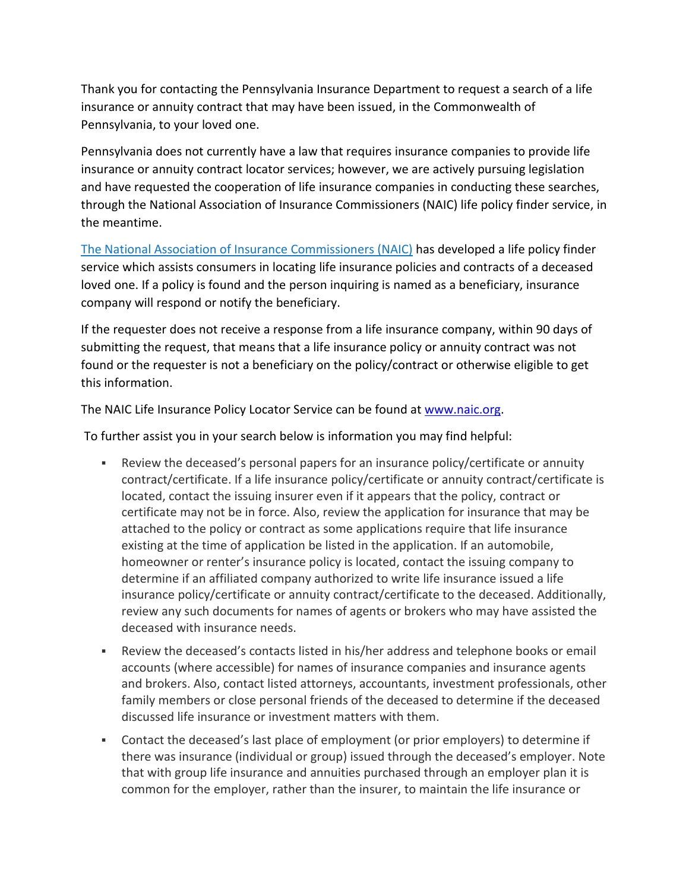Thank you for contacting the Pennsylvania Insurance Department to request a search of a life insurance or annuity contract that may have been issued, in the Commonwealth of Pennsylvania, to your loved one.

Pennsylvania does not currently have a law that requires insurance companies to provide life insurance or annuity contract locator services; however, we are actively pursuing legislation and have requested the cooperation of life insurance companies in conducting these searches, through the National Association of Insurance Commissioners (NAIC) life policy finder service, in the meantime.

[The National Association of Insurance Commissioners \(NAIC\)](http://www.naic.org/) has developed a life policy finder service which assists consumers in locating life insurance policies and contracts of a deceased loved one. If a policy is found and the person inquiring is named as a beneficiary, insurance company will respond or notify the beneficiary.

If the requester does not receive a response from a life insurance company, within 90 days of submitting the request, that means that a life insurance policy or annuity contract was not found or the requester is not a beneficiary on the policy/contract or otherwise eligible to get this information.

The NAIC Life Insurance Policy Locator Service can be found at [www.naic.org.](http://www.naic.org/)

To further assist you in your search below is information you may find helpful:

- Review the deceased's personal papers for an insurance policy/certificate or annuity contract/certificate. If a life insurance policy/certificate or annuity contract/certificate is located, contact the issuing insurer even if it appears that the policy, contract or certificate may not be in force. Also, review the application for insurance that may be attached to the policy or contract as some applications require that life insurance existing at the time of application be listed in the application. If an automobile, homeowner or renter's insurance policy is located, contact the issuing company to determine if an affiliated company authorized to write life insurance issued a life insurance policy/certificate or annuity contract/certificate to the deceased. Additionally, review any such documents for names of agents or brokers who may have assisted the deceased with insurance needs.
- Review the deceased's contacts listed in his/her address and telephone books or email accounts (where accessible) for names of insurance companies and insurance agents and brokers. Also, contact listed attorneys, accountants, investment professionals, other family members or close personal friends of the deceased to determine if the deceased discussed life insurance or investment matters with them.
- Contact the deceased's last place of employment (or prior employers) to determine if there was insurance (individual or group) issued through the deceased's employer. Note that with group life insurance and annuities purchased through an employer plan it is common for the employer, rather than the insurer, to maintain the life insurance or